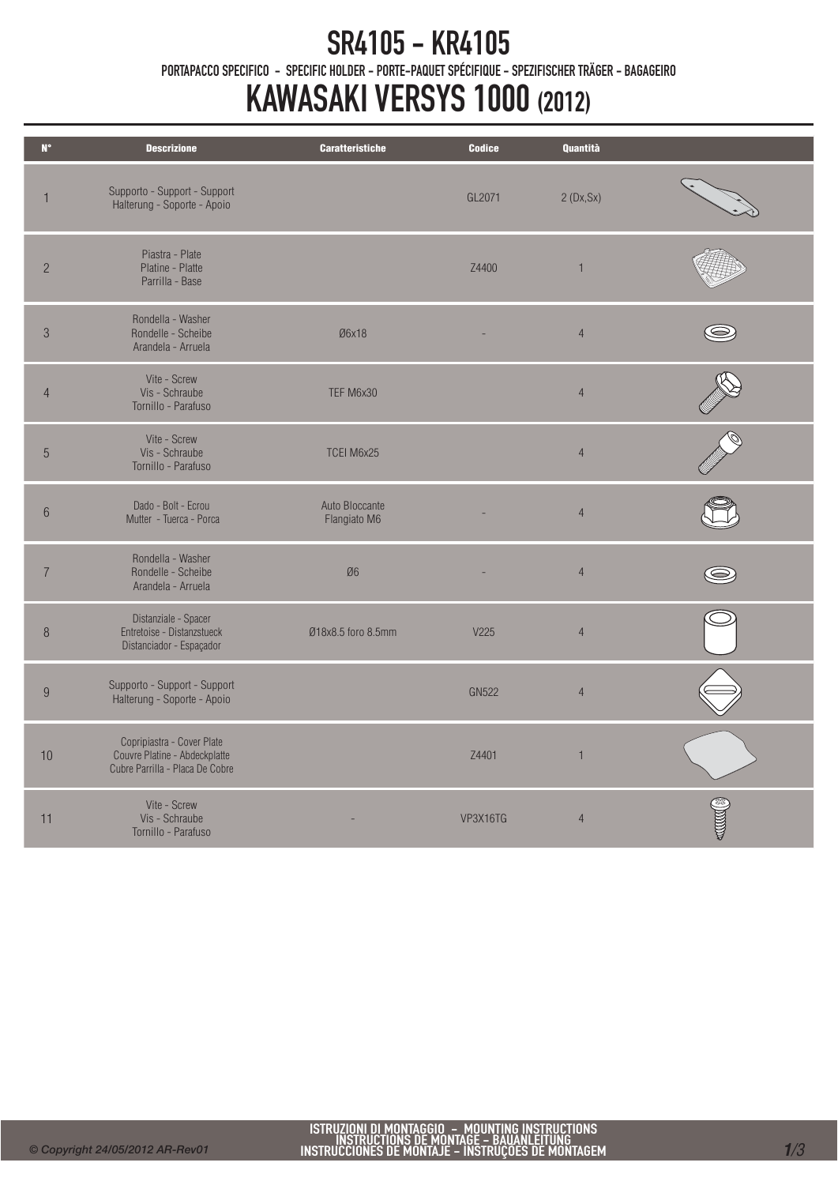## SR4105 - KR4105

PORTAPACCO SPECIFICO - SPECIFIC HOLDER - PORTE-PAQUET SPÉCIFIQUE - SPEZIFISCHER TRÄGER - BAGAGEIRO

## KAWASAKI VERSYS 1000 (2012)

| $\mathbf{N}^\bullet$ | <b>Descrizione</b>                                                                             | <b>Caratteristiche</b>         | <b>Codice</b> | <b>Quantità</b> |  |
|----------------------|------------------------------------------------------------------------------------------------|--------------------------------|---------------|-----------------|--|
| $\mathbf{1}$         | Supporto - Support - Support<br>Halterung - Soporte - Apoio                                    |                                | GL2071        | 2(Dx, Sx)       |  |
| $\overline{c}$       | Piastra - Plate<br>Platine - Platte<br>Parrilla - Base                                         |                                | Z4400         | $\overline{1}$  |  |
| $\sqrt{3}$           | Rondella - Washer<br>Rondelle - Scheibe<br>Arandela - Arruela                                  | Ø6x18                          |               | $\overline{4}$  |  |
| $\overline{4}$       | Vite - Screw<br>Vis - Schraube<br>Tornillo - Parafuso                                          | TEF M6x30                      |               | $\overline{4}$  |  |
| $\overline{5}$       | Vite - Screw<br>Vis - Schraube<br>Tornillo - Parafuso                                          | TCEI M6x25                     |               | $\overline{4}$  |  |
| $\,6\,$              | Dado - Bolt - Ecrou<br>Mutter - Tuerca - Porca                                                 | Auto Bloccante<br>Flangiato M6 |               | $\overline{4}$  |  |
| $\overline{7}$       | Rondella - Washer<br>Rondelle - Scheibe<br>Arandela - Arruela                                  | Ø6                             |               | $\overline{4}$  |  |
| $\, 8$               | Distanziale - Spacer<br>Entretoise - Distanzstueck<br>Distanciador - Espaçador                 | Ø18x8.5 foro 8.5mm             | V225          | $\overline{4}$  |  |
| $\boldsymbol{9}$     | Supporto - Support - Support<br>Halterung - Soporte - Apoio                                    |                                | <b>GN522</b>  | $\overline{4}$  |  |
| 10                   | Copripiastra - Cover Plate<br>Couvre Platine - Abdeckplatte<br>Cubre Parrilla - Placa De Cobre |                                | Z4401         | $\overline{1}$  |  |
| 11                   | Vite - Screw<br>Vis - Schraube<br>Tornillo - Parafuso                                          |                                | VP3X16TG      | $\overline{4}$  |  |
|                      |                                                                                                |                                |               |                 |  |